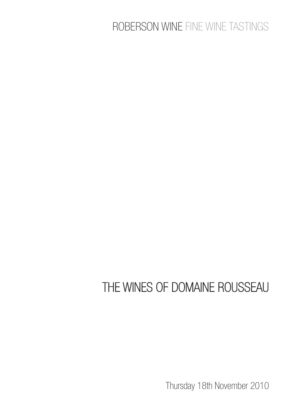## ROBERSON WINE FINE WINE TASTINGS

## THE WINES OF DOMAINE ROUSSEAU

Thursday 18th November 2010